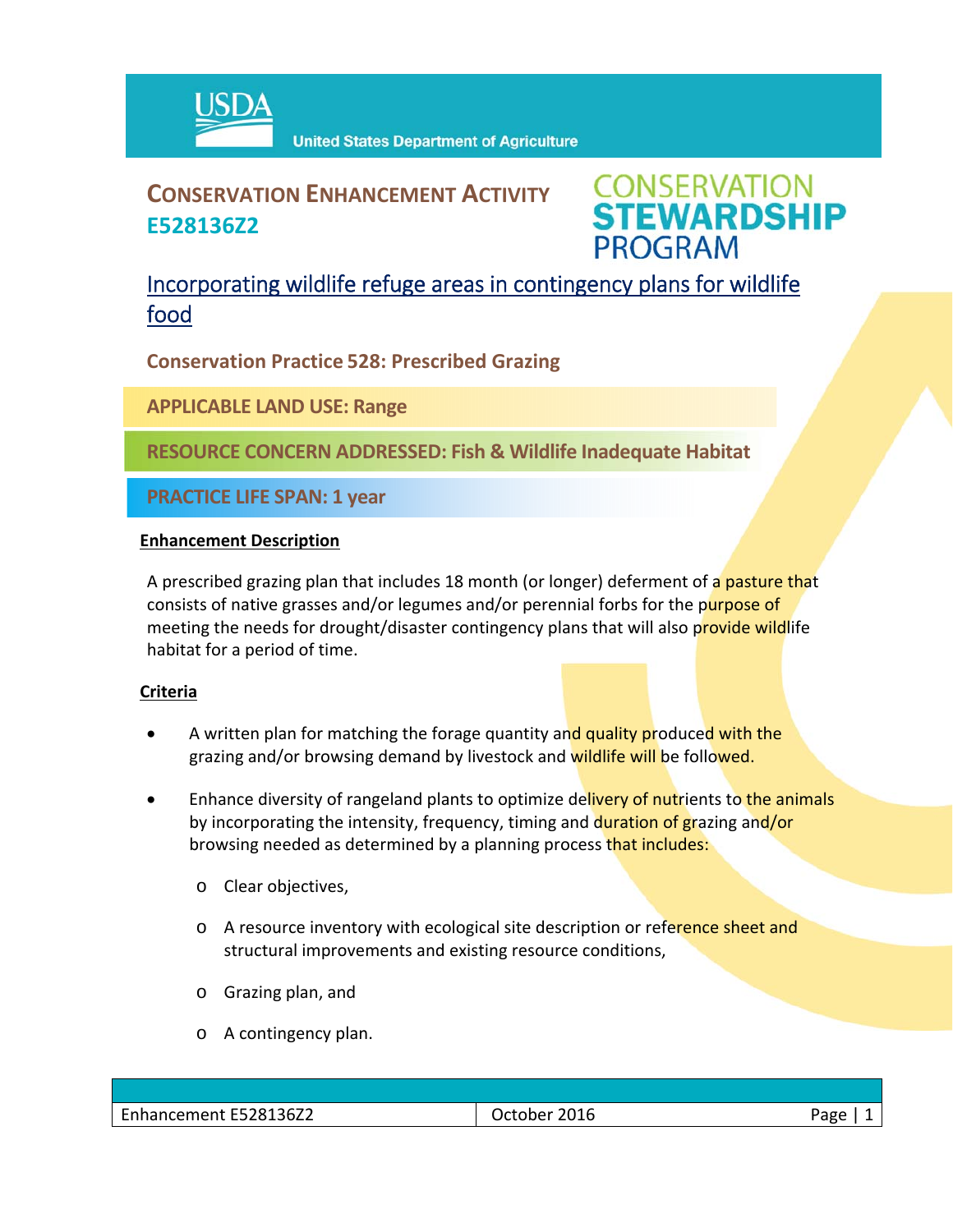

# **CONSERVATION ENHANCEMENT ACTIVITY E528136Z2**

**CONSERVATION<br>STEWARDSHIP PROGRAM** 

## Incorporating wildlife refuge areas in contingency plans for wildlife food

**Conservation Practice 528: Prescribed Grazing**

**APPLICABLE LAND USE: Range**

**RESOURCE CONCERN ADDRESSED: Fish & Wildlife Inadequate Habitat**

**PRACTICE LIFE SPAN: 1 year**

#### **Enhancement Description**

A prescribed grazing plan that includes 18 month (or longer) deferment of a pasture that consists of native grasses and/or legumes and/or perennial forbs for the purpose of meeting the needs for drought/disaster contingency plans that will also provide wildlife habitat for a period of time.

### **Criteria**

- A written plan for matching the forage quantity and quality produced with the grazing and/or browsing demand by livestock and wildlife will be followed.
- Enhance diversity of rangeland plants to optimize delivery of nutrients to the animals by incorporating the intensity, frequency, timing and duration of grazing and/or browsing needed as determined by a planning process that includes:
	- o Clear objectives,
	- o A resource inventory with ecological site description or reference sheet and structural improvements and existing resource conditions,
	- o Grazing plan, and
	- o A contingency plan.

| E528136Z2<br>-<br>- 115<br>.<br>'UEU<br>.<br>. | ∩1<br>н<br>.U L O<br>_____ | ape |
|------------------------------------------------|----------------------------|-----|
|                                                |                            |     |